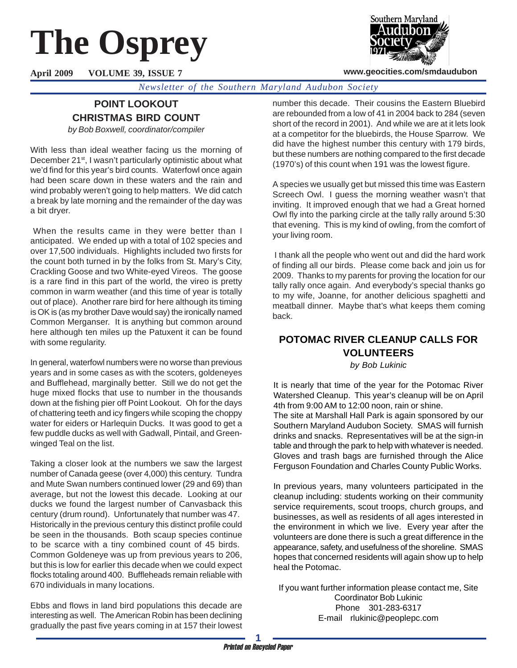# **The Osprey**

**April 2009 VOLUME 39, ISSUE 7**



#### **www.geocities.com/smdaudubon**

*Newsletter of the Southern Maryland Audubon Society*

## **POINT LOOKOUT CHRISTMAS BIRD COUNT**

*by Bob Boxwell, coordinator/compiler*

With less than ideal weather facing us the morning of December 21<sup>st</sup>, I wasn't particularly optimistic about what we'd find for this year's bird counts. Waterfowl once again had been scare down in these waters and the rain and wind probably weren't going to help matters. We did catch a break by late morning and the remainder of the day was a bit dryer.

 When the results came in they were better than I anticipated. We ended up with a total of 102 species and over 17,500 individuals. Highlights included two firsts for the count both turned in by the folks from St. Mary's City, Crackling Goose and two White-eyed Vireos. The goose is a rare find in this part of the world, the vireo is pretty common in warm weather (and this time of year is totally out of place). Another rare bird for here although its timing is OK is (as my brother Dave would say) the ironically named Common Merganser. It is anything but common around here although ten miles up the Patuxent it can be found with some regularity.

In general, waterfowl numbers were no worse than previous years and in some cases as with the scoters, goldeneyes and Bufflehead, marginally better. Still we do not get the huge mixed flocks that use to number in the thousands down at the fishing pier off Point Lookout. Oh for the days of chattering teeth and icy fingers while scoping the choppy water for eiders or Harlequin Ducks. It was good to get a few puddle ducks as well with Gadwall, Pintail, and Greenwinged Teal on the list.

Taking a closer look at the numbers we saw the largest number of Canada geese (over 4,000) this century. Tundra and Mute Swan numbers continued lower (29 and 69) than average, but not the lowest this decade. Looking at our ducks we found the largest number of Canvasback this century (drum round). Unfortunately that number was 47. Historically in the previous century this distinct profile could be seen in the thousands. Both scaup species continue to be scarce with a tiny combined count of 45 birds. Common Goldeneye was up from previous years to 206, but this is low for earlier this decade when we could expect flocks totaling around 400. Buffleheads remain reliable with 670 individuals in many locations.

Ebbs and flows in land bird populations this decade are interesting as well. The American Robin has been declining gradually the past five years coming in at 157 their lowest

number this decade. Their cousins the Eastern Bluebird are rebounded from a low of 41 in 2004 back to 284 (seven short of the record in 2001). And while we are at it lets look at a competitor for the bluebirds, the House Sparrow. We did have the highest number this century with 179 birds, but these numbers are nothing compared to the first decade (1970's) of this count when 191 was the lowest figure.

A species we usually get but missed this time was Eastern Screech Owl. I guess the morning weather wasn't that inviting. It improved enough that we had a Great horned Owl fly into the parking circle at the tally rally around 5:30 that evening. This is my kind of owling, from the comfort of your living room.

 I thank all the people who went out and did the hard work of finding all our birds. Please come back and join us for 2009. Thanks to my parents for proving the location for our tally rally once again. And everybody's special thanks go to my wife, Joanne, for another delicious spaghetti and meatball dinner. Maybe that's what keeps them coming back.

# **POTOMAC RIVER CLEANUP CALLS FOR VOLUNTEERS**

*by Bob Lukinic*

It is nearly that time of the year for the Potomac River Watershed Cleanup. This year's cleanup will be on April 4th from 9:00 AM to 12:00 noon, rain or shine.

The site at Marshall Hall Park is again sponsored by our Southern Maryland Audubon Society. SMAS will furnish drinks and snacks. Representatives will be at the sign-in table and through the park to help with whatever is needed. Gloves and trash bags are furnished through the Alice Ferguson Foundation and Charles County Public Works.

In previous years, many volunteers participated in the cleanup including: students working on their community service requirements, scout troops, church groups, and businesses, as well as residents of all ages interested in the environment in which we live. Every year after the volunteers are done there is such a great difference in the appearance, safety, and usefulness of the shoreline. SMAS hopes that concerned residents will again show up to help heal the Potomac.

If you want further information please contact me, Site Coordinator Bob Lukinic Phone 301-283-6317 E-mail rlukinic@peoplepc.com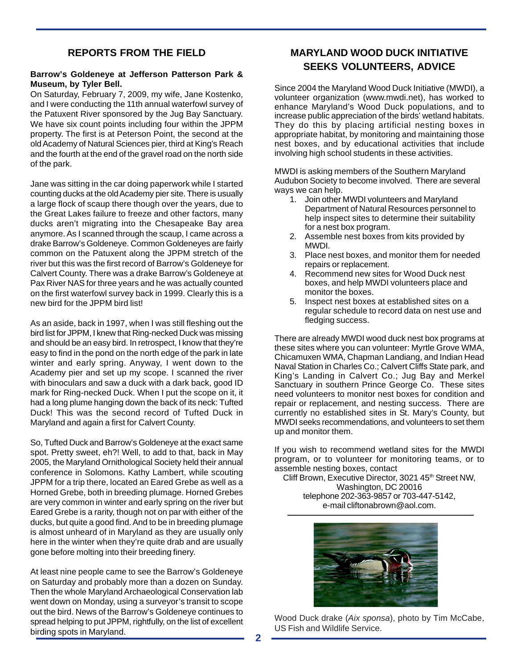## **REPORTS FROM THE FIELD**

#### **Barrow's Goldeneye at Jefferson Patterson Park & Museum, by Tyler Bell.**

On Saturday, February 7, 2009, my wife, Jane Kostenko, and I were conducting the 11th annual waterfowl survey of the Patuxent River sponsored by the Jug Bay Sanctuary. We have six count points including four within the JPPM property. The first is at Peterson Point, the second at the old Academy of Natural Sciences pier, third at King's Reach and the fourth at the end of the gravel road on the north side of the park.

Jane was sitting in the car doing paperwork while I started counting ducks at the old Academy pier site. There is usually a large flock of scaup there though over the years, due to the Great Lakes failure to freeze and other factors, many ducks aren't migrating into the Chesapeake Bay area anymore. As I scanned through the scaup, I came across a drake Barrow's Goldeneye. Common Goldeneyes are fairly common on the Patuxent along the JPPM stretch of the river but this was the first record of Barrow's Goldeneye for Calvert County. There was a drake Barrow's Goldeneye at Pax River NAS for three years and he was actually counted on the first waterfowl survey back in 1999. Clearly this is a new bird for the JPPM bird list!

As an aside, back in 1997, when I was still fleshing out the bird list for JPPM, I knew that Ring-necked Duck was missing and should be an easy bird. In retrospect, I know that they're easy to find in the pond on the north edge of the park in late winter and early spring. Anyway, I went down to the Academy pier and set up my scope. I scanned the river with binoculars and saw a duck with a dark back, good ID mark for Ring-necked Duck. When I put the scope on it, it had a long plume hanging down the back of its neck: Tufted Duck! This was the second record of Tufted Duck in Maryland and again a first for Calvert County.

So, Tufted Duck and Barrow's Goldeneye at the exact same spot. Pretty sweet, eh?! Well, to add to that, back in May 2005, the Maryland Ornithological Society held their annual conference in Solomons. Kathy Lambert, while scouting JPPM for a trip there, located an Eared Grebe as well as a Horned Grebe, both in breeding plumage. Horned Grebes are very common in winter and early spring on the river but Eared Grebe is a rarity, though not on par with either of the ducks, but quite a good find. And to be in breeding plumage is almost unheard of in Maryland as they are usually only here in the winter when they're quite drab and are usually gone before molting into their breeding finery.

At least nine people came to see the Barrow's Goldeneye on Saturday and probably more than a dozen on Sunday. Then the whole Maryland Archaeological Conservation lab went down on Monday, using a surveyor's transit to scope out the bird. News of the Barrow's Goldeneye continues to spread helping to put JPPM, rightfully, on the list of excellent birding spots in Maryland.

# **MARYLAND WOOD DUCK INITIATIVE SEEKS VOLUNTEERS, ADVICE**

Since 2004 the Maryland Wood Duck Initiative (MWDI), a volunteer organization (www.mwdi.net), has worked to enhance Maryland's Wood Duck populations, and to increase public appreciation of the birds' wetland habitats. They do this by placing artificial nesting boxes in appropriate habitat, by monitoring and maintaining those nest boxes, and by educational activities that include involving high school students in these activities.

MWDI is asking members of the Southern Maryland Audubon Society to become involved. There are several ways we can help.

- 1. Join other MWDI volunteers and Maryland Department of Natural Resources personnel to help inspect sites to determine their suitability for a nest box program.
- 2. Assemble nest boxes from kits provided by MWDI.
- 3. Place nest boxes, and monitor them for needed repairs or replacement.
- 4. Recommend new sites for Wood Duck nest boxes, and help MWDI volunteers place and monitor the boxes.
- 5. Inspect nest boxes at established sites on a regular schedule to record data on nest use and fledging success.

There are already MWDI wood duck nest box programs at these sites where you can volunteer: Myrtle Grove WMA, Chicamuxen WMA, Chapman Landiang, and Indian Head Naval Station in Charles Co.; Calvert Cliffs State park, and King's Landing in Calvert Co.; Jug Bay and Merkel Sanctuary in southern Prince George Co. These sites need volunteers to monitor nest boxes for condition and repair or replacement, and nesting success. There are currently no established sites in St. Mary's County, but MWDI seeks recommendations, and volunteers to set them up and monitor them.

If you wish to recommend wetland sites for the MWDI program, or to volunteer for monitoring teams, or to assemble nesting boxes, contact

Cliff Brown, Executive Director, 3021 45<sup>th</sup> Street NW, Washington, DC 20016 telephone 202-363-9857 or 703-447-5142, e-mail cliftonabrown@aol.com.



Wood Duck drake (*Aix sponsa*), photo by Tim McCabe, US Fish and Wildlife Service.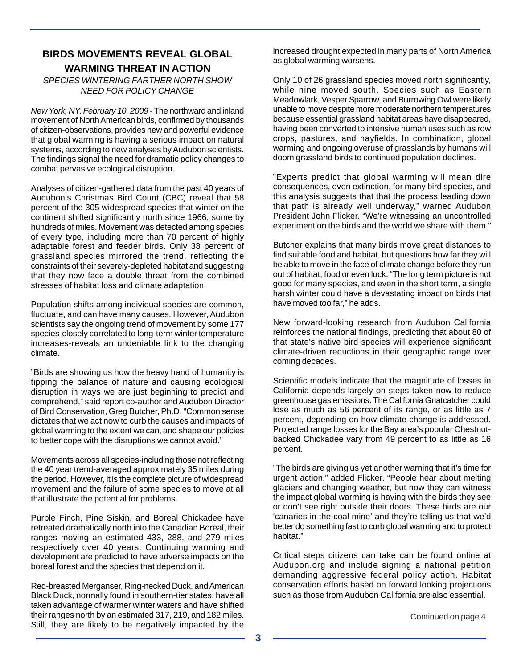## **BIRDS MOVEMENTS REVEAL GLOBAL WARMING THREAT IN ACTION**

*SPECIES WINTERING FARTHER NORTH SHOW NEED FOR POLICY CHANGE*

*New York, NY, February 10, 2009* - The northward and inland movement of North American birds, confirmed by thousands of citizen-observations, provides new and powerful evidence that global warming is having a serious impact on natural systems, according to new analyses by Audubon scientists. The findings signal the need for dramatic policy changes to combat pervasive ecological disruption.

Analyses of citizen-gathered data from the past 40 years of Audubon's Christmas Bird Count (CBC) reveal that 58 percent of the 305 widespread species that winter on the continent shifted significantly north since 1966, some by hundreds of miles. Movement was detected among species of every type, including more than 70 percent of highly adaptable forest and feeder birds. Only 38 percent of grassland species mirrored the trend, reflecting the constraints of their severely-depleted habitat and suggesting that they now face a double threat from the combined stresses of habitat loss and climate adaptation.

Population shifts among individual species are common, fluctuate, and can have many causes. However, Audubon scientists say the ongoing trend of movement by some 177 species-closely correlated to long-term winter temperature increases-reveals an undeniable link to the changing climate.

"Birds are showing us how the heavy hand of humanity is tipping the balance of nature and causing ecological disruption in ways we are just beginning to predict and comprehend," said report co-author and Audubon Director of Bird Conservation, Greg Butcher, Ph.D. "Common sense dictates that we act now to curb the causes and impacts of global warming to the extent we can, and shape our policies to better cope with the disruptions we cannot avoid."

Movements across all species-including those not reflecting the 40 year trend-averaged approximately 35 miles during the period. However, it is the complete picture of widespread movement and the failure of some species to move at all that illustrate the potential for problems.

Purple Finch, Pine Siskin, and Boreal Chickadee have retreated dramatically north into the Canadian Boreal, their ranges moving an estimated 433, 288, and 279 miles respectively over 40 years. Continuing warming and development are predicted to have adverse impacts on the boreal forest and the species that depend on it.

Red-breasted Merganser, Ring-necked Duck, and American Black Duck, normally found in southern-tier states, have all taken advantage of warmer winter waters and have shifted their ranges north by an estimated 317, 219, and 182 miles. Still, they are likely to be negatively impacted by the Continued on page 4

increased drought expected in many parts of North America as global warming worsens.

Only 10 of 26 grassland species moved north significantly, while nine moved south. Species such as Eastern Meadowlark, Vesper Sparrow, and Burrowing Owl were likely unable to move despite more moderate northern temperatures because essential grassland habitat areas have disappeared, having been converted to intensive human uses such as row crops, pastures, and hayfields. In combination, global warming and ongoing overuse of grasslands by humans will doom grassland birds to continued population declines.

"Experts predict that global warming will mean dire consequences, even extinction, for many bird species, and this analysis suggests that that the process leading down that path is already well underway," warned Audubon President John Flicker. "We're witnessing an uncontrolled experiment on the birds and the world we share with them."

Butcher explains that many birds move great distances to find suitable food and habitat, but questions how far they will be able to move in the face of climate change before they run out of habitat, food or even luck. "The long term picture is not good for many species, and even in the short term, a single harsh winter could have a devastating impact on birds that have moved too far," he adds.

New forward-looking research from Audubon California reinforces the national findings, predicting that about 80 of that state's native bird species will experience significant climate-driven reductions in their geographic range over coming decades.

Scientific models indicate that the magnitude of losses in California depends largely on steps taken now to reduce greenhouse gas emissions. The California Gnatcatcher could lose as much as 56 percent of its range, or as little as 7 percent, depending on how climate change is addressed. Projected range losses for the Bay area's popular Chestnutbacked Chickadee vary from 49 percent to as little as 16 percent.

"The birds are giving us yet another warning that it's time for urgent action," added Flicker. "People hear about melting glaciers and changing weather, but now they can witness the impact global warming is having with the birds they see or don't see right outside their doors. These birds are our 'canaries in the coal mine' and they're telling us that we'd better do something fast to curb global warming and to protect habitat."

Critical steps citizens can take can be found online at Audubon.org and include signing a national petition demanding aggressive federal policy action. Habitat conservation efforts based on forward looking projections such as those from Audubon California are also essential.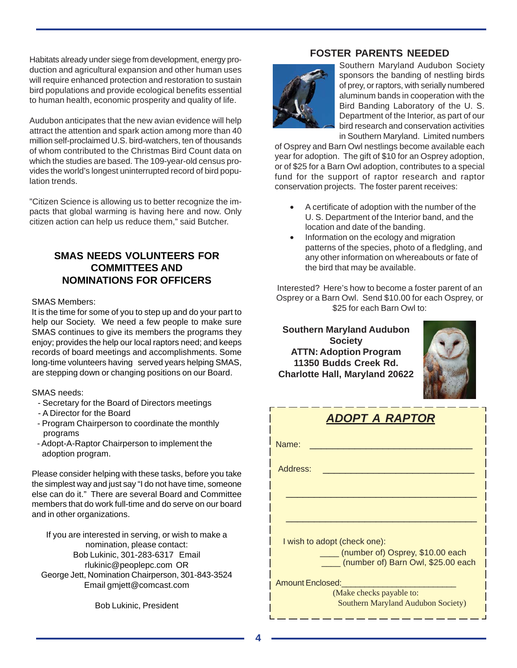Habitats already under siege from development, energy production and agricultural expansion and other human uses will require enhanced protection and restoration to sustain bird populations and provide ecological benefits essential to human health, economic prosperity and quality of life.

Audubon anticipates that the new avian evidence will help attract the attention and spark action among more than 40 million self-proclaimed U.S. bird-watchers, ten of thousands of whom contributed to the Christmas Bird Count data on which the studies are based. The 109-year-old census provides the world's longest uninterrupted record of bird population trends.

"Citizen Science is allowing us to better recognize the impacts that global warming is having here and now. Only citizen action can help us reduce them," said Butcher.

# **SMAS NEEDS VOLUNTEERS FOR COMMITTEES AND NOMINATIONS FOR OFFICERS**

### SMAS Members:

It is the time for some of you to step up and do your part to help our Society. We need a few people to make sure SMAS continues to give its members the programs they enjoy; provides the help our local raptors need; and keeps records of board meetings and accomplishments. Some long-time volunteers having served years helping SMAS, are stepping down or changing positions on our Board.

SMAS needs:

- Secretary for the Board of Directors meetings
- A Director for the Board
- Program Chairperson to coordinate the monthly programs
- Adopt-A-Raptor Chairperson to implement the adoption program.

Please consider helping with these tasks, before you take the simplest way and just say "I do not have time, someone else can do it." There are several Board and Committee members that do work full-time and do serve on our board and in other organizations.

If you are interested in serving, or wish to make a nomination, please contact: Bob Lukinic, 301-283-6317 Email rlukinic@peoplepc.com OR George Jett, Nomination Chairperson, 301-843-3524 Email gmjett@comcast.com

Bob Lukinic, President

## **FOSTER PARENTS NEEDED**



Southern Maryland Audubon Society sponsors the banding of nestling birds of prey, or raptors, with serially numbered aluminum bands in cooperation with the Bird Banding Laboratory of the U. S. Department of the Interior, as part of our bird research and conservation activities in Southern Maryland. Limited numbers

of Osprey and Barn Owl nestlings become available each year for adoption. The gift of \$10 for an Osprey adoption, or of \$25 for a Barn Owl adoption, contributes to a special fund for the support of raptor research and raptor conservation projects. The foster parent receives:

- A certificate of adoption with the number of the U. S. Department of the Interior band, and the location and date of the banding.
- Information on the ecology and migration patterns of the species, photo of a fledgling, and any other information on whereabouts or fate of the bird that may be available.

Interested? Here's how to become a foster parent of an Osprey or a Barn Owl. Send \$10.00 for each Osprey, or \$25 for each Barn Owl to:

**Southern Maryland Audubon Society ATTN: Adoption Program 11350 Budds Creek Rd. Charlotte Hall, Maryland 20622**



| <b>ADOPT A RAPTOR</b>                                                  |  |  |  |  |  |
|------------------------------------------------------------------------|--|--|--|--|--|
| Name:                                                                  |  |  |  |  |  |
| Address:                                                               |  |  |  |  |  |
|                                                                        |  |  |  |  |  |
|                                                                        |  |  |  |  |  |
| I wish to adopt (check one):                                           |  |  |  |  |  |
| (number of) Osprey, \$10.00 each<br>(number of) Barn Owl, \$25.00 each |  |  |  |  |  |
| <b>Amount Enclosed:</b>                                                |  |  |  |  |  |
| (Make checks payable to:<br><b>Southern Maryland Audubon Society)</b>  |  |  |  |  |  |

\_\_\_\_\_\_\_\_\_\_\_\_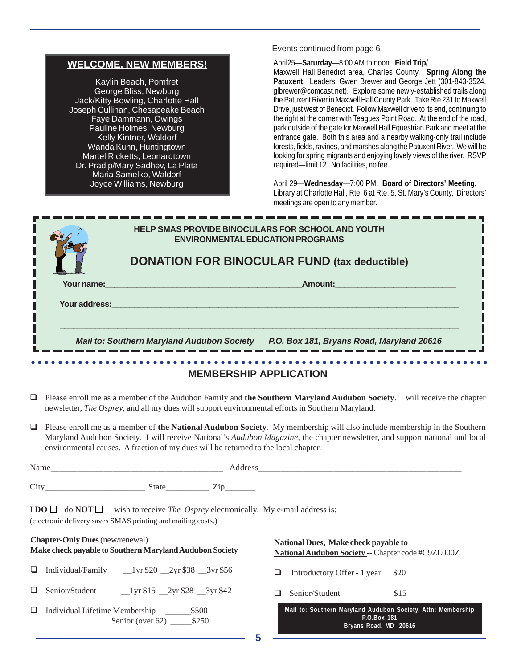| <b>WELCOME, NEW MEMBERS!</b> |  |
|------------------------------|--|
|------------------------------|--|

Kaylin Beach, Pomfret George Bliss, Newburg Jack/Kitty Bowling, Charlotte Hall Joseph Cullinan, Chesapeake Beach Faye Dammann, Owings Pauline Holmes, Newburg Kelly Kintner, Waldorf Wanda Kuhn, Huntingtown Martel Ricketts, Leonardtown Dr. Pradip/Mary Sadhev, La Plata Maria Samelko, Waldorf Joyce Williams, Newburg

Events continued from page 6

April25—**Saturday**—8:00 AM to noon. **Field Trip/**

Maxwell Hall.Benedict area, Charles County. **Spring Along the Patuxent.** Leaders: Gwen Brewer and George Jett (301-843-3524, glbrewer@comcast.net). Explore some newly-established trails along the Patuxent River in Maxwell Hall County Park. Take Rte 231 to Maxwell Drive, just west of Benedict. Follow Maxwell drive to its end, continuing to the right at the corner with Teagues Point Road. At the end of the road, park outside of the gate for Maxwell Hall Equestrian Park and meet at the entrance gate. Both this area and a nearby walking-only trail include forests, fields, ravines, and marshes along the Patuxent River. We will be looking for spring migrants and enjoying lovely views of the river. RSVP required—limit 12. No facilities, no fee.

April 29—**Wednesday**—7:00 PM. **Board of Directors' Meeting.** Library at Charlotte Hall, Rte. 6 at Rte. 5, St. Mary's County. Directors' meetings are open to any member.

|                               | <b>HELP SMAS PROVIDE BINOCULARS FOR SCHOOL AND YOUTH</b><br><b>ENVIRONMENTAL EDUCATION PROGRAMS</b><br><b>DONATION FOR BINOCULAR FUND (tax deductible)</b> |  |  |  |  |
|-------------------------------|------------------------------------------------------------------------------------------------------------------------------------------------------------|--|--|--|--|
| Your name:                    | Amount:                                                                                                                                                    |  |  |  |  |
| Your address:                 |                                                                                                                                                            |  |  |  |  |
|                               | P.O. Box 181, Bryans Road, Maryland 20616<br><b>Mail to: Southern Maryland Audubon Society</b>                                                             |  |  |  |  |
|                               |                                                                                                                                                            |  |  |  |  |
| <b>MEMBERSHIP APPLICATION</b> |                                                                                                                                                            |  |  |  |  |

- Please enroll me as a member of the Audubon Family and **the Southern Maryland Audubon Society**. I will receive the chapter newsletter, *The Osprey*, and all my dues will support environmental efforts in Southern Maryland.
- Please enroll me as a member of **the National Audubon Society**. My membership will also include membership in the Southern Maryland Audubon Society. I will receive National's *Audubon Magazine*, the chapter newsletter, and support national and local environmental causes. A fraction of my dues will be returned to the local chapter.

| Name<br>___________________________ |                     | ___          | ________ |  |
|-------------------------------------|---------------------|--------------|----------|--|
|                                     |                     |              |          |  |
| City                                | <u>ດ1</u><br>∍Jiai⊏ | -<br>_______ |          |  |

I **DO**  $\Box$  do **NOT** wish to receive *The Osprey* electronically. My e-mail address is: (electronic delivery saves SMAS printing and mailing costs.)

|    | <b>Chapter-Only Dues</b> (new/renewal)<br>Make check payable to Southern Maryland Audubon Society                                                                                                                                                                                                                                                                                       | National Dues, Make check payable to<br>National Audubon Society -- Chapter code #C9ZL000Z           |  |  |
|----|-----------------------------------------------------------------------------------------------------------------------------------------------------------------------------------------------------------------------------------------------------------------------------------------------------------------------------------------------------------------------------------------|------------------------------------------------------------------------------------------------------|--|--|
| ч. | Individual/Family<br>$1 \text{yr} $20$ $2 \text{yr} $38$ $3 \text{yr} $56$                                                                                                                                                                                                                                                                                                              | Introductory Offer - 1 year<br><b>S20</b><br>ப                                                       |  |  |
|    | Senior/Student<br>$\frac{1}{\sqrt{5}}$ 15 $\frac{2}{\sqrt{5}}$ $\frac{2}{\sqrt{5}}$ $\frac{1}{\sqrt{5}}$ $\frac{1}{\sqrt{5}}$ $\frac{1}{\sqrt{5}}$ $\frac{1}{\sqrt{5}}$ $\frac{1}{\sqrt{5}}$ $\frac{1}{\sqrt{5}}$ $\frac{1}{\sqrt{5}}$ $\frac{1}{\sqrt{5}}$ $\frac{1}{\sqrt{5}}$ $\frac{1}{\sqrt{5}}$ $\frac{1}{\sqrt{5}}$ $\frac{1}{\sqrt{5}}$ $\frac{1}{\sqrt{5}}$ $\frac{1}{\sqrt{5$ | Senior/Student<br>\$15                                                                               |  |  |
| ⊔. | Individual Lifetime Membership<br>\$500<br>Senior (over 62) $$250$                                                                                                                                                                                                                                                                                                                      | Mail to: Southern Maryland Audubon Society, Attn: Membership<br>P.O.Box 181<br>Bryans Road, MD 20616 |  |  |